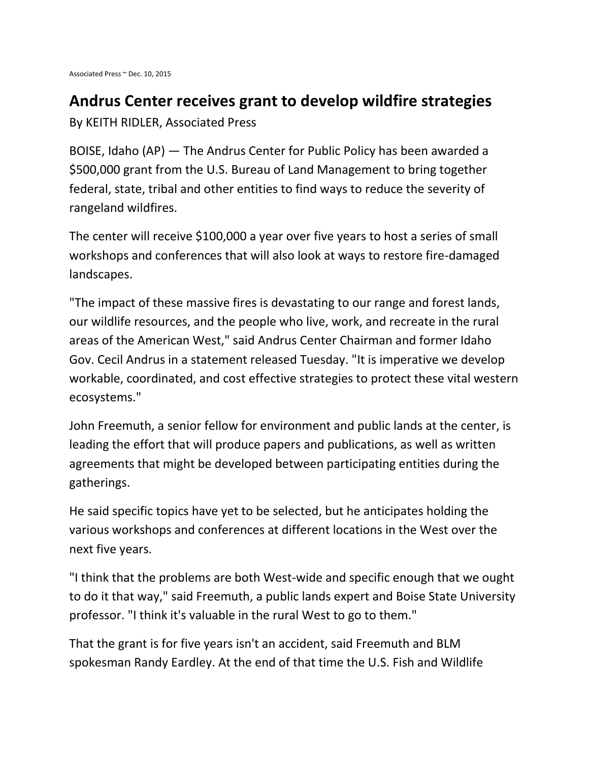## **Andrus Center receives grant to develop wildfire strategies**

By KEITH RIDLER, Associated Press

BOISE, Idaho (AP) — The Andrus Center for Public Policy has been awarded a \$500,000 grant from the U.S. Bureau of Land Management to bring together federal, state, tribal and other entities to find ways to reduce the severity of rangeland wildfires.

The center will receive \$100,000 a year over five years to host a series of small workshops and conferences that will also look at ways to restore fire-damaged landscapes.

"The impact of these massive fires is devastating to our range and forest lands, our wildlife resources, and the people who live, work, and recreate in the rural areas of the American West," said Andrus Center Chairman and former Idaho Gov. Cecil Andrus in a statement released Tuesday. "It is imperative we develop workable, coordinated, and cost effective strategies to protect these vital western ecosystems."

John Freemuth, a senior fellow for environment and public lands at the center, is leading the effort that will produce papers and publications, as well as written agreements that might be developed between participating entities during the gatherings.

He said specific topics have yet to be selected, but he anticipates holding the various workshops and conferences at different locations in the West over the next five years.

"I think that the problems are both West-wide and specific enough that we ought to do it that way," said Freemuth, a public lands expert and Boise State University professor. "I think it's valuable in the rural West to go to them."

That the grant is for five years isn't an accident, said Freemuth and BLM spokesman Randy Eardley. At the end of that time the U.S. Fish and Wildlife